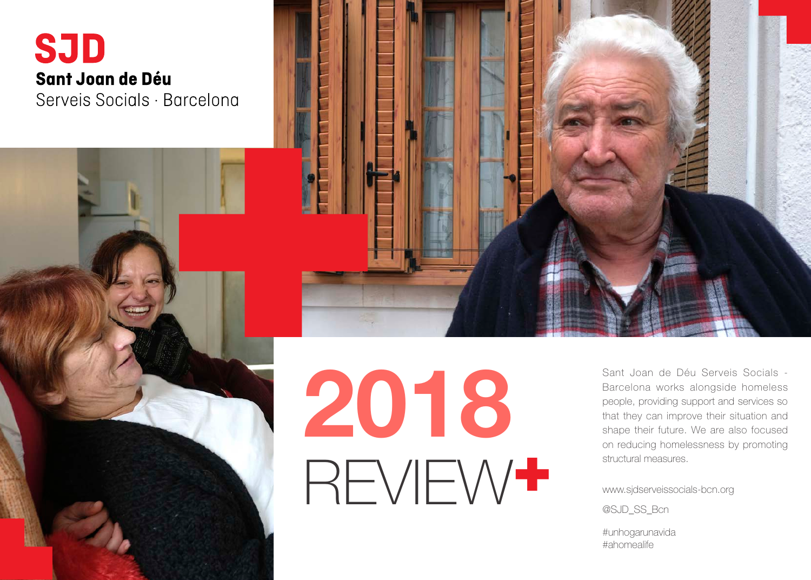





**2018** REVIEW<sup>+</sup>

Sant Joan de Déu Serveis Socials - Barcelona works alongside homeless people, providing support and services so that they can improve their situation and shape their future. We are also focused on reducing homelessness by promoting structural measures.

www.sjdserveissocials-bcn.org

@SJD\_SS\_Bcn

#unhogarunavida #ahomealife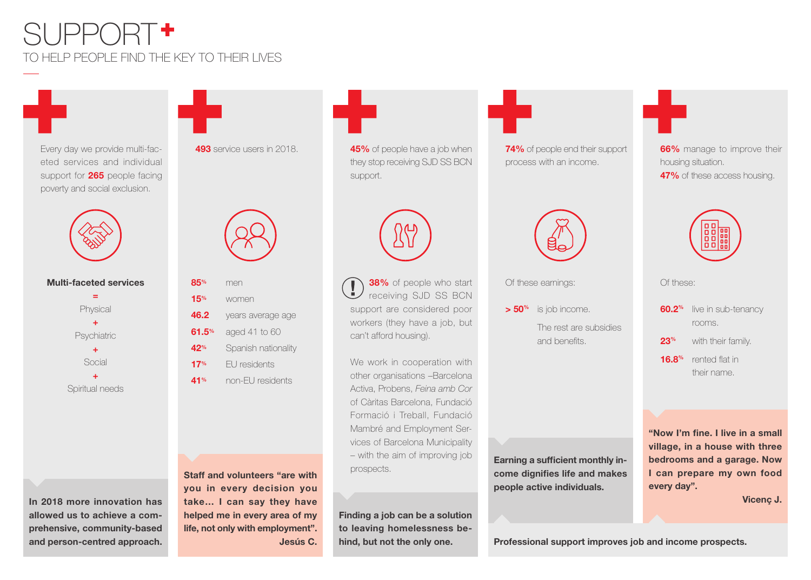## SUPPORT TO HELP PEOPLE FIND THE KEY TO THEIR LIVES

Every day we provide multi-faceted services and individual support for **265** people facing poverty and social exclusion.



| <b>Multi-faceted services</b> |  |
|-------------------------------|--|
|-------------------------------|--|





- **61.5%** aged 41 to 60
- **42%** Spanish nationality

**17%** EU residents

**41%** non-EU residents

**Staff and volunteers "are with you in every decision you take… I can say they have helped me in every area of my life, not only with employment". Jesús C.**

**493** service users in 2018. **45%** of people have a job when they stop receiving SJD SS BCN support.



**38%** of people who start receiving SJD SS BCN support are considered poor workers (they have a job, but can't afford housing).

We work in cooperation with other organisations –Barcelona Activa, Probens, *Feina amb Cor* of Càritas Barcelona, Fundació Formació i Treball, Fundació Mambré and Employment Services of Barcelona Municipality – with the aim of improving job prospects.

**Finding a job can be a solution to leaving homelessness behind, but not the only one.**

**74%** of people end their support process with an income.



Of these earnings:

**> 50%** is job income.

The rest are subsidies and benefits.

**Earning a sufficient monthly income dignifies life and makes people active individuals.**

**66%** manage to improve their housing situation. **47%** of these access housing.



Of these:

**60.2%** live in sub-tenancy rooms.

**23<sup>%</sup>** with their family.

**16.8%** rented flat in their name.

**"Now I'm fine. I live in a small village, in a house with three bedrooms and a garage. Now I can prepare my own food every day".**

**Vicenç J.**

**Professional support improves job and income prospects.**

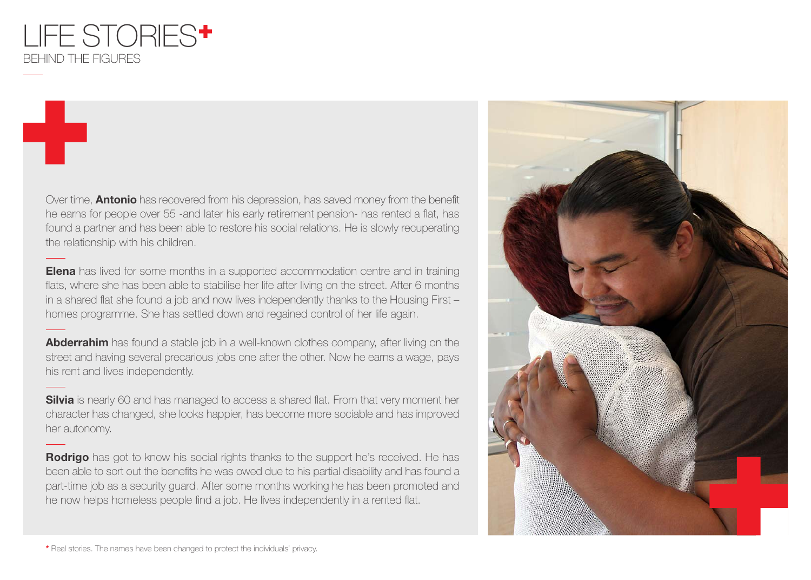

Over time, **Antonio** has recovered from his depression, has saved money from the benefit he earns for people over 55 -and later his early retirement pension- has rented a flat, has found a partner and has been able to restore his social relations. He is slowly recuperating the relationship with his children.

**Elena** has lived for some months in a supported accommodation centre and in training flats, where she has been able to stabilise her life after living on the street. After 6 months in a shared flat she found a job and now lives independently thanks to the Housing First – homes programme. She has settled down and regained control of her life again.

**Abderrahim** has found a stable job in a well-known clothes company, after living on the street and having several precarious jobs one after the other. Now he earns a wage, pays his rent and lives independently.

**Silvia** is nearly 60 and has managed to access a shared flat. From that very moment her character has changed, she looks happier, has become more sociable and has improved her autonomy.

**Rodrigo** has got to know his social rights thanks to the support he's received. He has been able to sort out the benefits he was owed due to his partial disability and has found a part-time job as a security guard. After some months working he has been promoted and he now helps homeless people find a job. He lives independently in a rented flat.



**\*** Real stories. The names have been changed to protect the individuals' privacy.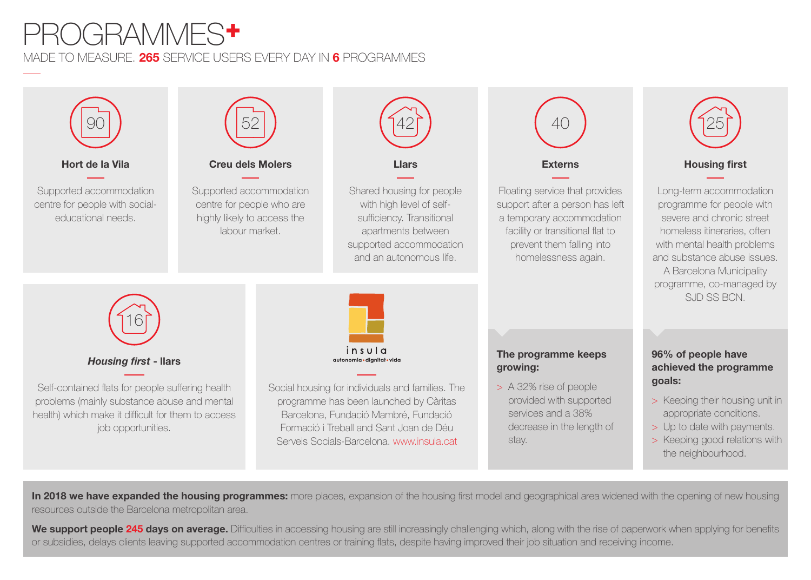# PROGRAMMES<sup>+</sup>

MADE TO MEASURE. **265** SERVICE USERS EVERY DAY IN **6** PROGRAMMES

![](_page_3_Figure_2.jpeg)

**In 2018 we have expanded the housing programmes:** more places, expansion of the housing first model and geographical area widened with the opening of new housing resources outside the Barcelona metropolitan area.

We support people 245 days on average. Difficulties in accessing housing are still increasingly challenging which, along with the rise of paperwork when applying for benefits or subsidies, delays clients leaving supported accommodation centres or training flats, despite having improved their job situation and receiving income.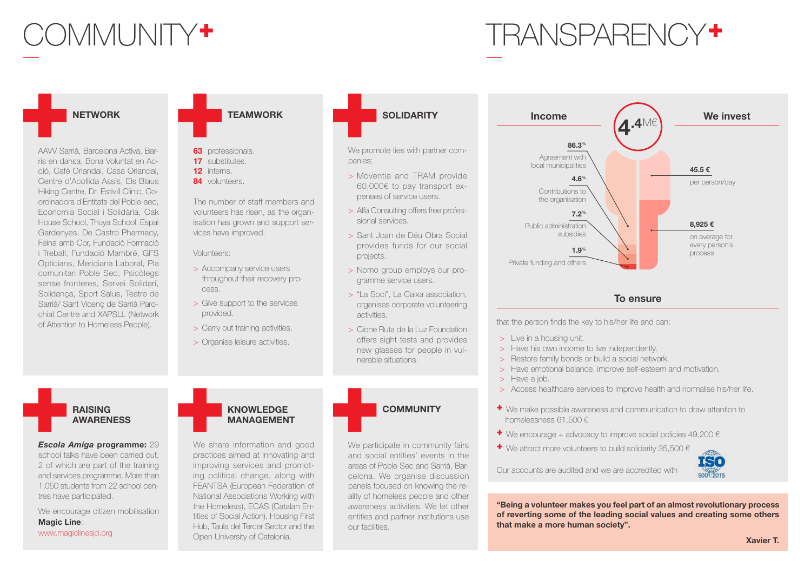# COMMUNITY TRANSPARENCY

#### **NETWORK**

AAVV Sarrià, Barcelona Activa, Barris en dansa, Bona Voluntat en Acció, Cafè Orlandai, Casa Orlandai, Centre d'Acollida Assís, Els Blaus Hiking Centre, Dr. Estivill Clinic, Coordinadora d'Entitats del Poble-sec, Economia Social i Solidària, Oak House School, Thuya School, Espai Gardenyes, De Castro Pharmacy, Feina amb Cor, Fundació Formació i Treball, Fundació Mambré, GFS Opticians, Meridiana Laboral, Pla comunitari Poble Sec, Psicòlegs sense fronteres, Servei Solidari, Solidança, Sport Salus, Teatre de Sarrià/ Sant Vicenç de Sarrià Parochial Centre and XAPSLL (Network of Attention to Homeless People).

- **63** professionals.
- **17** substitutes. **12** interns.
- **84** volunteers.

The number of staff members and volunteers has risen, as the organisation has grown and support services have improved.

**TEAMWORK**

Volunteers:

- > Accompany service users throughout their recovery process.
- > Give support to the services provided.
- > Carry out training activities.
- > Organise leisure activities.

### **SOLIDARITY**

We promote ties with partner companies:

- > Moventia and TRAM provide 60,000€ to pay transport expenses of service users.
- > Alfa Consulting offers free professional services.
- > Sant Joan de Déu Obra Social provides funds for our social projects.
- > Nomo group employs our programme service users.
- > "La Soci", La Caixa association, organises corporate volunteering activities.
- > Cione Ruta de la Luz Foundation offers sight tests and provides new glasses for people in vulnerable situations.

#### **RAISING AWARENESS**

*Escola Amiga* **programme:** 29 school talks have been carried out, 2 of which are part of the training and services programme. More than 1,050 students from 22 school centres have participated.

We encourage citizen mobilisation **Magic Line**: www.magiclinesjd.org

![](_page_4_Picture_25.jpeg)

We share information and good practices aimed at innovating and improving services and promoting political change, along with FEANTSA (European Federation of National Associations Working with the Homeless), ECAS (Catalan Entities of Social Action), Housing First Hub, Taula del Tercer Sector and the Open University of Catalonia.

### **COMMUNITY**

We participate in community fairs and social entities' events in the areas of Poble Sec and Sarrià, Barcelona. We organise discussion panels focused on knowing the reality of homeless people and other awareness activities. We let other entities and partner institutions use our facilities.

![](_page_4_Figure_29.jpeg)

#### **To ensure**

that the person finds the key to his/her life and can:

- > Live in a housing unit.
- > Have his own income to live independently.
- > Restore family bonds or build a social network.
- > Have emotional balance, improve self-esteem and motivation.
- > Have a job.
- > Access healthcare services to improve health and normalise his/her life.
- $+$  We make possible awareness and communication to draw attention to homelessness 61,500 €
- $\bullet$  We encourage + advocacy to improve social policies 49,200  $\epsilon$
- $\div$  We attract more volunteers to build solidarity 35,500  $\epsilon$

![](_page_4_Picture_41.jpeg)

Our accounts are audited and we are accredited with

**"Being a volunteer makes you feel part of an almost revolutionary process of reverting some of the leading social values and creating some others that make a more human society".**